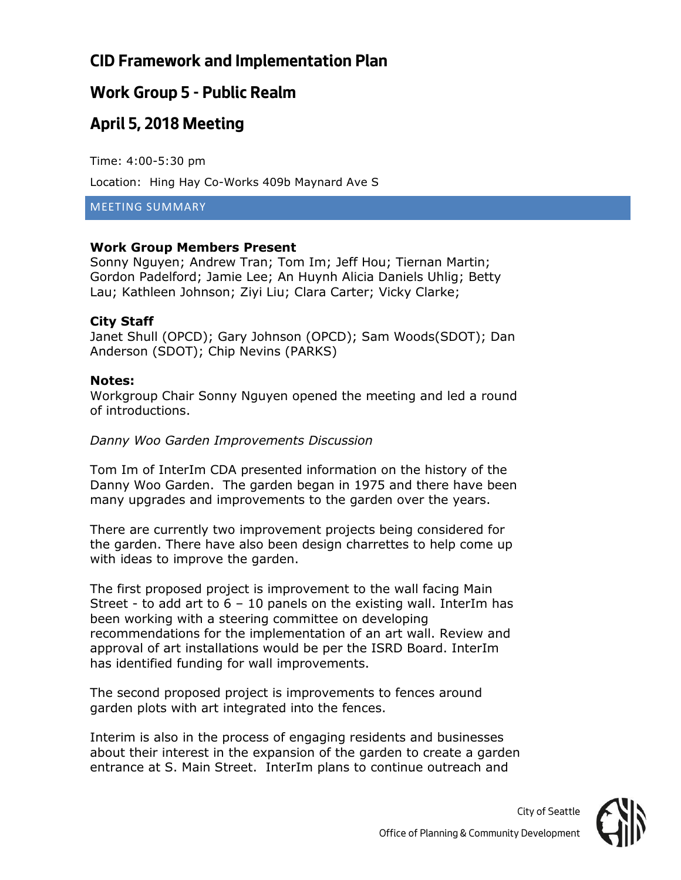### **Work Group 5 - Public Realm**

## **April 5, 2018 Meeting**

Time: 4:00-5:30 pm

Location: Hing Hay Co-Works 409b Maynard Ave S

MEETING SUMMARY

### **Work Group Members Present**

Sonny Nguyen; Andrew Tran; Tom Im; Jeff Hou; Tiernan Martin; Gordon Padelford; Jamie Lee; An Huynh Alicia Daniels Uhlig; Betty Lau; Kathleen Johnson; Ziyi Liu; Clara Carter; Vicky Clarke;

### **City Staff**

Janet Shull (OPCD); Gary Johnson (OPCD); Sam Woods(SDOT); Dan Anderson (SDOT); Chip Nevins (PARKS)

### **Notes:**

Workgroup Chair Sonny Nguyen opened the meeting and led a round of introductions.

### *Danny Woo Garden Improvements Discussion*

Tom Im of InterIm CDA presented information on the history of the Danny Woo Garden. The garden began in 1975 and there have been many upgrades and improvements to the garden over the years.

There are currently two improvement projects being considered for the garden. There have also been design charrettes to help come up with ideas to improve the garden.

The first proposed project is improvement to the wall facing Main Street - to add art to  $6 - 10$  panels on the existing wall. InterIm has been working with a steering committee on developing recommendations for the implementation of an art wall. Review and approval of art installations would be per the ISRD Board. InterIm has identified funding for wall improvements.

The second proposed project is improvements to fences around garden plots with art integrated into the fences.

Interim is also in the process of engaging residents and businesses about their interest in the expansion of the garden to create a garden entrance at S. Main Street. InterIm plans to continue outreach and



*City of Seattle*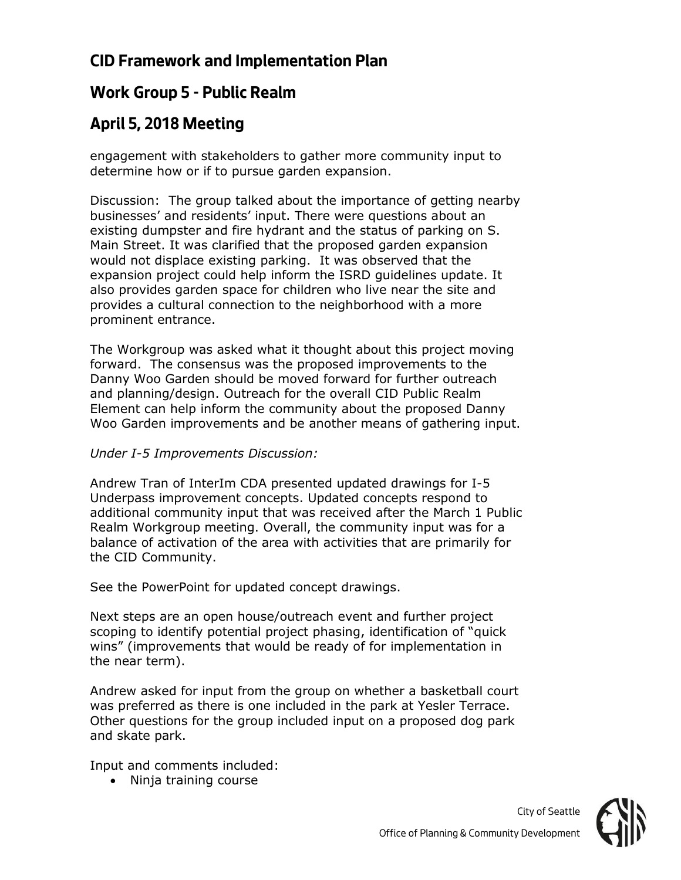## **Work Group 5 - Public Realm**

# **April 5, 2018 Meeting**

engagement with stakeholders to gather more community input to determine how or if to pursue garden expansion.

Discussion: The group talked about the importance of getting nearby businesses' and residents' input. There were questions about an existing dumpster and fire hydrant and the status of parking on S. Main Street. It was clarified that the proposed garden expansion would not displace existing parking. It was observed that the expansion project could help inform the ISRD guidelines update. It also provides garden space for children who live near the site and provides a cultural connection to the neighborhood with a more prominent entrance.

The Workgroup was asked what it thought about this project moving forward. The consensus was the proposed improvements to the Danny Woo Garden should be moved forward for further outreach and planning/design. Outreach for the overall CID Public Realm Element can help inform the community about the proposed Danny Woo Garden improvements and be another means of gathering input.

### *Under I-5 Improvements Discussion:*

Andrew Tran of InterIm CDA presented updated drawings for I-5 Underpass improvement concepts. Updated concepts respond to additional community input that was received after the March 1 Public Realm Workgroup meeting. Overall, the community input was for a balance of activation of the area with activities that are primarily for the CID Community.

See the PowerPoint for updated concept drawings.

Next steps are an open house/outreach event and further project scoping to identify potential project phasing, identification of "quick wins" (improvements that would be ready of for implementation in the near term).

Andrew asked for input from the group on whether a basketball court was preferred as there is one included in the park at Yesler Terrace. Other questions for the group included input on a proposed dog park and skate park.

Input and comments included:

• Ninja training course

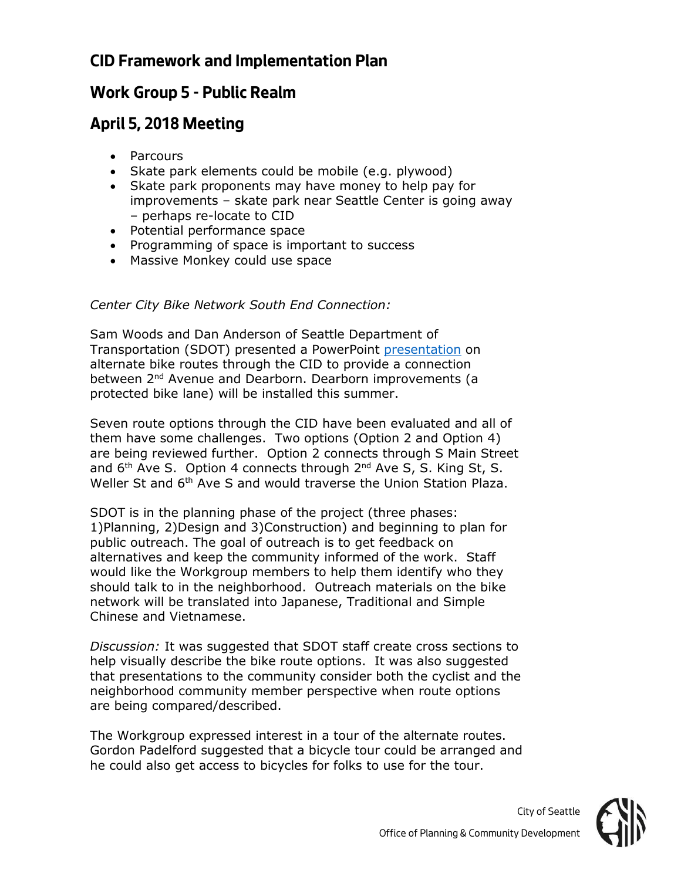### **Work Group 5 - Public Realm**

## **April 5, 2018 Meeting**

- Parcours
- Skate park elements could be mobile (e.g. plywood)
- Skate park proponents may have money to help pay for improvements – skate park near Seattle Center is going away – perhaps re-locate to CID
- Potential performance space
- Programming of space is important to success
- Massive Monkey could use space

### *Center City Bike Network South End Connection:*

Sam Woods and Dan Anderson of Seattle Department of Transportation (SDOT) presented a PowerPoint [presentation](file:///C:/Users/atran/Downloads/18%2004%2004%20CID%20Presentation%20DA.pdf) on alternate bike routes through the CID to provide a connection between 2<sup>nd</sup> Avenue and Dearborn. Dearborn improvements (a protected bike lane) will be installed this summer.

Seven route options through the CID have been evaluated and all of them have some challenges. Two options (Option 2 and Option 4) are being reviewed further. Option 2 connects through S Main Street and  $6<sup>th</sup>$  Ave S. Option 4 connects through  $2<sup>nd</sup>$  Ave S, S. King St, S. Weller St and 6<sup>th</sup> Ave S and would traverse the Union Station Plaza.

SDOT is in the planning phase of the project (three phases: 1)Planning, 2)Design and 3)Construction) and beginning to plan for public outreach. The goal of outreach is to get feedback on alternatives and keep the community informed of the work. Staff would like the Workgroup members to help them identify who they should talk to in the neighborhood. Outreach materials on the bike network will be translated into Japanese, Traditional and Simple Chinese and Vietnamese.

*Discussion:* It was suggested that SDOT staff create cross sections to help visually describe the bike route options. It was also suggested that presentations to the community consider both the cyclist and the neighborhood community member perspective when route options are being compared/described.

The Workgroup expressed interest in a tour of the alternate routes. Gordon Padelford suggested that a bicycle tour could be arranged and he could also get access to bicycles for folks to use for the tour.